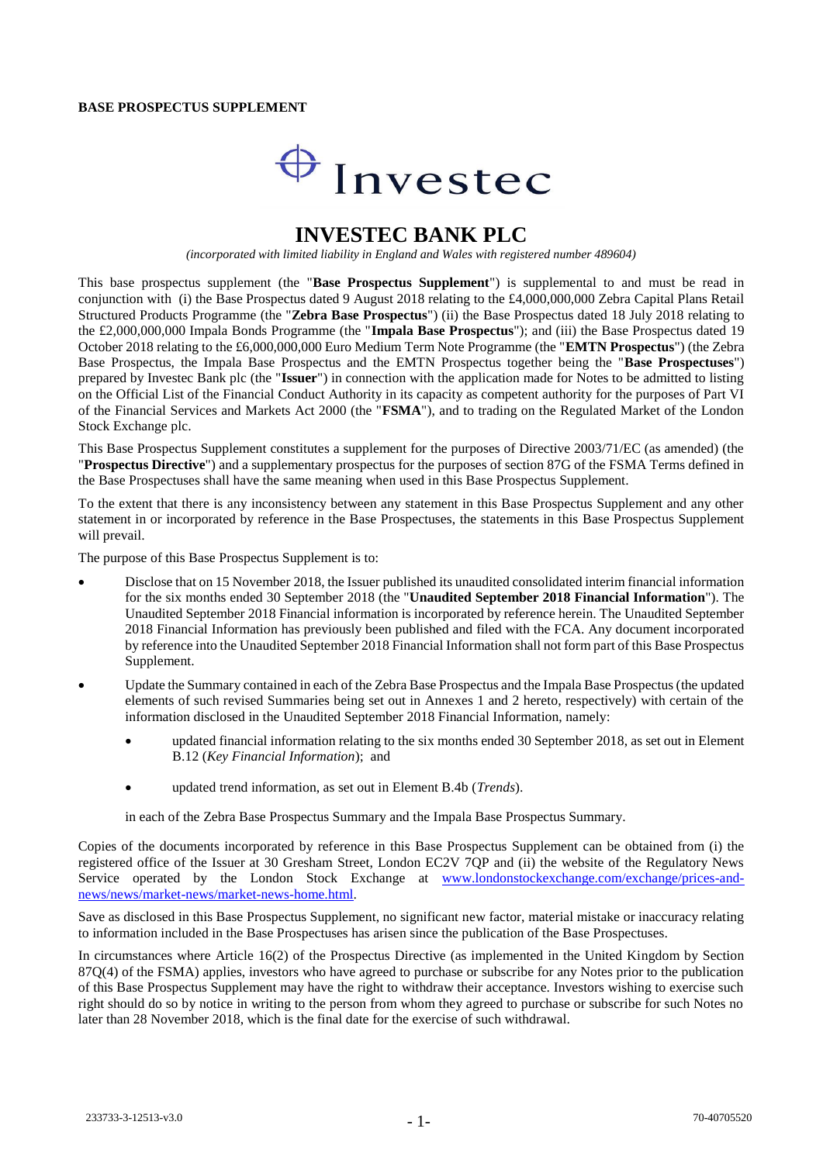#### **BASE PROSPECTUS SUPPLEMENT**

# $\bigoplus$  Investec

## **INVESTEC BANK PLC**

*(incorporated with limited liability in England and Wales with registered number 489604)*

This base prospectus supplement (the "**Base Prospectus Supplement**") is supplemental to and must be read in conjunction with (i) the Base Prospectus dated 9 August 2018 relating to the £4,000,000,000 Zebra Capital Plans Retail Structured Products Programme (the "**Zebra Base Prospectus**") (ii) the Base Prospectus dated 18 July 2018 relating to the £2,000,000,000 Impala Bonds Programme (the "**Impala Base Prospectus**"); and (iii) the Base Prospectus dated 19 October 2018 relating to the £6,000,000,000 Euro Medium Term Note Programme (the "**EMTN Prospectus**") (the Zebra Base Prospectus, the Impala Base Prospectus and the EMTN Prospectus together being the "**Base Prospectuses**") prepared by Investec Bank plc (the "**Issuer**") in connection with the application made for Notes to be admitted to listing on the Official List of the Financial Conduct Authority in its capacity as competent authority for the purposes of Part VI of the Financial Services and Markets Act 2000 (the "**FSMA**"), and to trading on the Regulated Market of the London Stock Exchange plc.

This Base Prospectus Supplement constitutes a supplement for the purposes of Directive 2003/71/EC (as amended) (the "**Prospectus Directive**") and a supplementary prospectus for the purposes of section 87G of the FSMA Terms defined in the Base Prospectuses shall have the same meaning when used in this Base Prospectus Supplement.

To the extent that there is any inconsistency between any statement in this Base Prospectus Supplement and any other statement in or incorporated by reference in the Base Prospectuses, the statements in this Base Prospectus Supplement will prevail.

The purpose of this Base Prospectus Supplement is to:

- Disclose that on 15 November 2018, the Issuer published its unaudited consolidated interim financial information for the six months ended 30 September 2018 (the "**Unaudited September 2018 Financial Information**"). The Unaudited September 2018 Financial information is incorporated by reference herein. The Unaudited September 2018 Financial Information has previously been published and filed with the FCA. Any document incorporated by reference into the Unaudited September 2018 Financial Information shall not form part of this Base Prospectus Supplement.
- Update the Summary contained in each of the Zebra Base Prospectus and the Impala Base Prospectus (the updated elements of such revised Summaries being set out in Annexes 1 and 2 hereto, respectively) with certain of the information disclosed in the Unaudited September 2018 Financial Information, namely:
	- updated financial information relating to the six months ended 30 September 2018, as set out in Element B.12 (*Key Financial Information*); and
	- updated trend information, as set out in Element B.4b (*Trends*).

in each of the Zebra Base Prospectus Summary and the Impala Base Prospectus Summary.

Copies of the documents incorporated by reference in this Base Prospectus Supplement can be obtained from (i) the registered office of the Issuer at 30 Gresham Street, London EC2V 7QP and (ii) the website of the Regulatory News Service operated by the London Stock Exchange at [www.londonstockexchange.com/exchange/prices-and](http://www.londonstockexchange.com/exchange/prices-and-news/news/market-news/market-news-home.html)[news/news/market-news/market-news-home.html.](http://www.londonstockexchange.com/exchange/prices-and-news/news/market-news/market-news-home.html)

Save as disclosed in this Base Prospectus Supplement, no significant new factor, material mistake or inaccuracy relating to information included in the Base Prospectuses has arisen since the publication of the Base Prospectuses.

In circumstances where Article 16(2) of the Prospectus Directive (as implemented in the United Kingdom by Section 87Q(4) of the FSMA) applies, investors who have agreed to purchase or subscribe for any Notes prior to the publication of this Base Prospectus Supplement may have the right to withdraw their acceptance. Investors wishing to exercise such right should do so by notice in writing to the person from whom they agreed to purchase or subscribe for such Notes no later than 28 November 2018, which is the final date for the exercise of such withdrawal.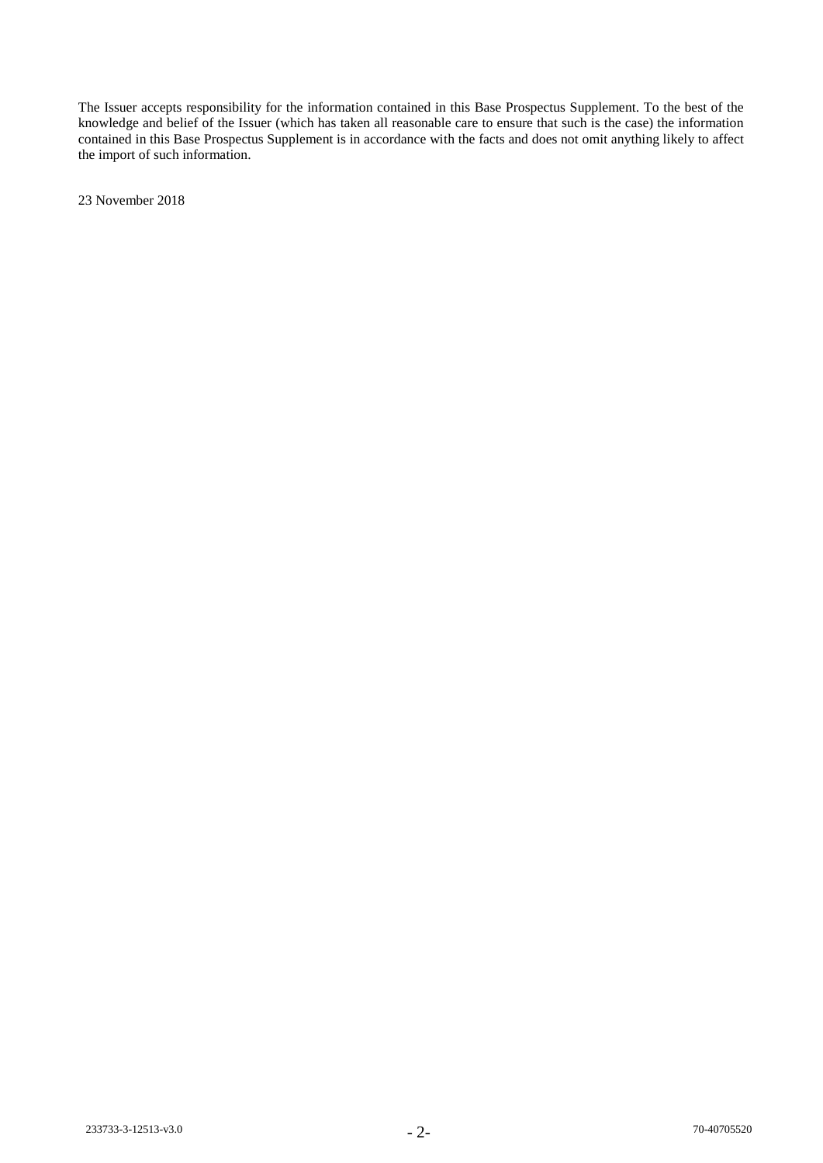The Issuer accepts responsibility for the information contained in this Base Prospectus Supplement. To the best of the knowledge and belief of the Issuer (which has taken all reasonable care to ensure that such is the case) the information contained in this Base Prospectus Supplement is in accordance with the facts and does not omit anything likely to affect the import of such information.

23 November 2018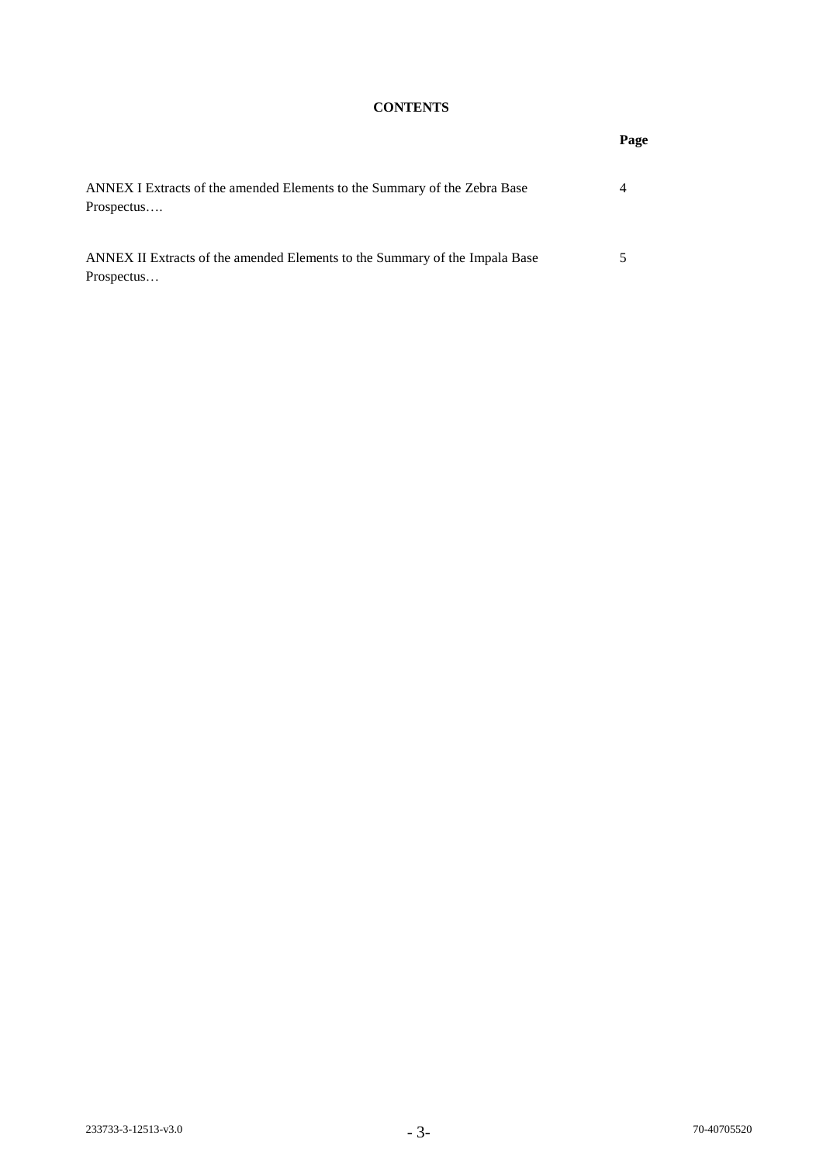### **CONTENTS**

**Page**

| ANNEX I Extracts of the amended Elements to the Summary of the Zebra Base<br>Prospectus   | 4 |
|-------------------------------------------------------------------------------------------|---|
| ANNEX II Extracts of the amended Elements to the Summary of the Impala Base<br>Prospectus | 5 |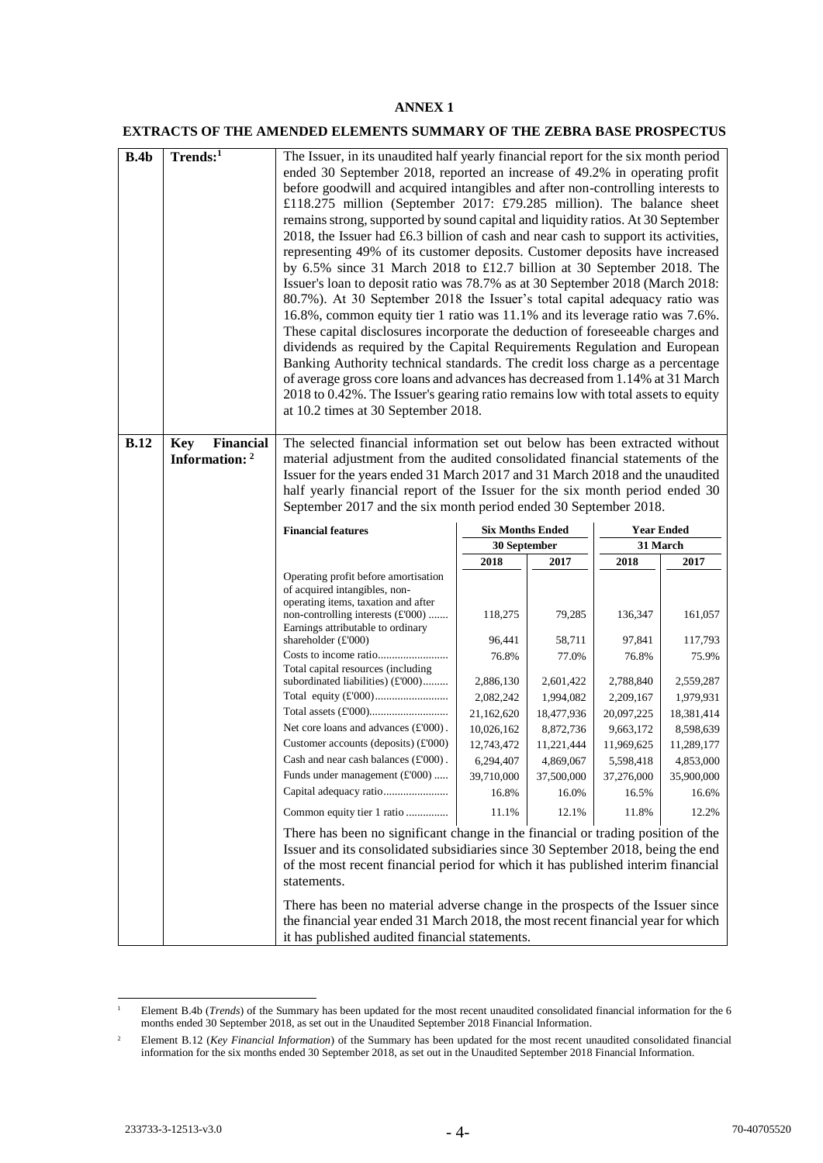#### **ANNEX 1**

#### **EXTRACTS OF THE AMENDED ELEMENTS SUMMARY OF THE ZEBRA BASE PROSPECTUS**

| B.4b        | Trends:1                       | The Issuer, in its unaudited half yearly financial report for the six month period<br>ended 30 September 2018, reported an increase of 49.2% in operating profit<br>before goodwill and acquired intangibles and after non-controlling interests to<br>£118.275 million (September 2017: £79.285 million). The balance sheet<br>remains strong, supported by sound capital and liquidity ratios. At 30 September<br>2018, the Issuer had £6.3 billion of cash and near cash to support its activities,<br>representing 49% of its customer deposits. Customer deposits have increased<br>by 6.5% since 31 March 2018 to £12.7 billion at 30 September 2018. The<br>Issuer's loan to deposit ratio was 78.7% as at 30 September 2018 (March 2018:<br>80.7%). At 30 September 2018 the Issuer's total capital adequacy ratio was |                         |                         |                         |                         |  |  |
|-------------|--------------------------------|--------------------------------------------------------------------------------------------------------------------------------------------------------------------------------------------------------------------------------------------------------------------------------------------------------------------------------------------------------------------------------------------------------------------------------------------------------------------------------------------------------------------------------------------------------------------------------------------------------------------------------------------------------------------------------------------------------------------------------------------------------------------------------------------------------------------------------|-------------------------|-------------------------|-------------------------|-------------------------|--|--|
|             |                                | 16.8%, common equity tier 1 ratio was 11.1% and its leverage ratio was 7.6%.<br>These capital disclosures incorporate the deduction of foreseeable charges and<br>dividends as required by the Capital Requirements Regulation and European<br>Banking Authority technical standards. The credit loss charge as a percentage<br>of average gross core loans and advances has decreased from 1.14% at 31 March<br>2018 to 0.42%. The Issuer's gearing ratio remains low with total assets to equity<br>at 10.2 times at 30 September 2018.                                                                                                                                                                                                                                                                                      |                         |                         |                         |                         |  |  |
| <b>B.12</b> | <b>Financial</b><br><b>Key</b> | The selected financial information set out below has been extracted without                                                                                                                                                                                                                                                                                                                                                                                                                                                                                                                                                                                                                                                                                                                                                    |                         |                         |                         |                         |  |  |
|             | Information: 2                 | material adjustment from the audited consolidated financial statements of the                                                                                                                                                                                                                                                                                                                                                                                                                                                                                                                                                                                                                                                                                                                                                  |                         |                         |                         |                         |  |  |
|             |                                | Issuer for the years ended 31 March 2017 and 31 March 2018 and the unaudited<br>half yearly financial report of the Issuer for the six month period ended 30                                                                                                                                                                                                                                                                                                                                                                                                                                                                                                                                                                                                                                                                   |                         |                         |                         |                         |  |  |
|             |                                | September 2017 and the six month period ended 30 September 2018.                                                                                                                                                                                                                                                                                                                                                                                                                                                                                                                                                                                                                                                                                                                                                               |                         |                         |                         |                         |  |  |
|             |                                | <b>Financial features</b>                                                                                                                                                                                                                                                                                                                                                                                                                                                                                                                                                                                                                                                                                                                                                                                                      | <b>Six Months Ended</b> |                         | <b>Year Ended</b>       |                         |  |  |
|             |                                |                                                                                                                                                                                                                                                                                                                                                                                                                                                                                                                                                                                                                                                                                                                                                                                                                                | 30 September            |                         | 31 March                |                         |  |  |
|             |                                |                                                                                                                                                                                                                                                                                                                                                                                                                                                                                                                                                                                                                                                                                                                                                                                                                                | 2018                    | 2017                    | 2018                    | 2017                    |  |  |
|             |                                | Operating profit before amortisation<br>of acquired intangibles, non-<br>operating items, taxation and after<br>non-controlling interests (£'000)<br>Earnings attributable to ordinary                                                                                                                                                                                                                                                                                                                                                                                                                                                                                                                                                                                                                                         | 118,275                 | 79,285                  | 136,347                 | 161,057                 |  |  |
|             |                                | shareholder $(E'000)$                                                                                                                                                                                                                                                                                                                                                                                                                                                                                                                                                                                                                                                                                                                                                                                                          | 96,441                  | 58,711                  | 97,841                  | 117,793                 |  |  |
|             |                                |                                                                                                                                                                                                                                                                                                                                                                                                                                                                                                                                                                                                                                                                                                                                                                                                                                | 76.8%                   | 77.0%                   | 76.8%                   | 75.9%                   |  |  |
|             |                                | Total capital resources (including<br>subordinated liabilities) (£'000)                                                                                                                                                                                                                                                                                                                                                                                                                                                                                                                                                                                                                                                                                                                                                        | 2,886,130               | 2,601,422               | 2,788,840               | 2,559,287               |  |  |
|             |                                |                                                                                                                                                                                                                                                                                                                                                                                                                                                                                                                                                                                                                                                                                                                                                                                                                                | 2,082,242               | 1,994,082               | 2,209,167               | 1,979,931               |  |  |
|             |                                |                                                                                                                                                                                                                                                                                                                                                                                                                                                                                                                                                                                                                                                                                                                                                                                                                                | 21,162,620              | 18,477,936              | 20,097,225              | 18,381,414              |  |  |
|             |                                | Net core loans and advances $(\text{\pounds}000)$ .                                                                                                                                                                                                                                                                                                                                                                                                                                                                                                                                                                                                                                                                                                                                                                            | 10,026,162              | 8,872,736               | 9,663,172               | 8,598,639               |  |  |
|             |                                | Customer accounts (deposits) $(E'000)$<br>Cash and near cash balances $(E'000)$ .                                                                                                                                                                                                                                                                                                                                                                                                                                                                                                                                                                                                                                                                                                                                              | 12,743,472              | 11,221,444              | 11,969,625              | 11,289,177<br>4,853,000 |  |  |
|             |                                | Funds under management (£'000)                                                                                                                                                                                                                                                                                                                                                                                                                                                                                                                                                                                                                                                                                                                                                                                                 | 6,294,407<br>39,710,000 | 4,869,067<br>37,500,000 | 5,598,418<br>37,276,000 | 35,900,000              |  |  |
|             |                                | Capital adequacy ratio                                                                                                                                                                                                                                                                                                                                                                                                                                                                                                                                                                                                                                                                                                                                                                                                         | 16.8%                   | 16.0%                   | 16.5%                   | 16.6%                   |  |  |
|             |                                | Common equity tier 1 ratio                                                                                                                                                                                                                                                                                                                                                                                                                                                                                                                                                                                                                                                                                                                                                                                                     | 11.1%                   | 12.1%                   | 11.8%                   | 12.2%                   |  |  |
|             |                                |                                                                                                                                                                                                                                                                                                                                                                                                                                                                                                                                                                                                                                                                                                                                                                                                                                |                         |                         |                         |                         |  |  |
|             |                                | There has been no significant change in the financial or trading position of the<br>Issuer and its consolidated subsidiaries since 30 September 2018, being the end<br>of the most recent financial period for which it has published interim financial<br>statements.                                                                                                                                                                                                                                                                                                                                                                                                                                                                                                                                                         |                         |                         |                         |                         |  |  |
|             |                                | There has been no material adverse change in the prospects of the Issuer since<br>the financial year ended 31 March 2018, the most recent financial year for which<br>it has published audited financial statements.                                                                                                                                                                                                                                                                                                                                                                                                                                                                                                                                                                                                           |                         |                         |                         |                         |  |  |

 $\bar{1}$ <sup>1</sup> Element B.4b (*Trends*) of the Summary has been updated for the most recent unaudited consolidated financial information for the 6 months ended 30 September 2018, as set out in the Unaudited September 2018 Financial Information.

<sup>&</sup>lt;sup>2</sup> Element B.12 (*Key Financial Information*) of the Summary has been updated for the most recent unaudited consolidated financial information for the six months ended 30 September 2018, as set out in the Unaudited September 2018 Financial Information.